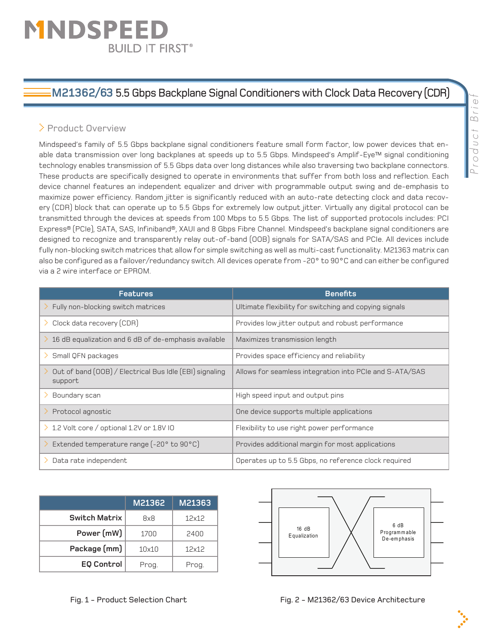# MNDSPEE **BUILD IT FIRST®**

# **M21362/63** 5.5 Gbps Backplane Signal Conditioners with Clock Data Recovery (CDR)

## > Product Overview

Mindspeed's family of 5.5 Gbps backplane signal conditioners feature small form factor, low power devices that enable data transmission over long backplanes at speeds up to 5.5 Gbps. Mindspeed's Amplif-Eye™ signal conditioning technology enables transmission of 5.5 Gbps data over long distances while also traversing two backplane connectors. These products are specifically designed to operate in environments that suffer from both loss and reflection. Each device channel features an independent equalizer and driver with programmable output swing and de-emphasis to maximize power efficiency. Random jitter is significantly reduced with an auto-rate detecting clock and data recovery (CDR) block that can operate up to 5.5 Gbps for extremely low output jitter. Virtually any digital protocol can be transmitted through the devices at speeds from 100 Mbps to 5.5 Gbps. The list of supported protocols includes: PCI Express® (PCIe), SATA, SAS, Infiniband®, XAUI and 8 Gbps Fibre Channel. Mindspeed's backplane signal conditioners are designed to recognize and transparently relay out-of-band (OOB) signals for SATA/SAS and PCIe. All devices include fully non-blocking switch matrices that allow for simple switching as well as multi-cast functionality. M21363 matrix can also be configured as a failover/redundancy switch. All devices operate from -20° to 90°C and can either be configured via a 2 wire interface or EPROM.

| <b>Features</b>                                                          | <b>Benefits</b>                                         |  |
|--------------------------------------------------------------------------|---------------------------------------------------------|--|
| $\geq$ Fully non-blocking switch matrices                                | Ultimate flexibility for switching and copying signals  |  |
| $\geq$ Clock data recovery (CDR)                                         | Provides low jitter output and robust performance       |  |
| 16 dB equalization and 6 dB of de-emphasis available<br>D.               | Maximizes transmission length                           |  |
| $\geq$ Small QFN packages                                                | Provides space efficiency and reliability               |  |
| Out of band (OOB) / Electrical Bus Idle (EBI) signaling<br>D.<br>support | Allows for seamless integration into PCIe and S-ATA/SAS |  |
| > Boundary scan                                                          | High speed input and output pins                        |  |
| Protocol agnostic<br>>.                                                  | One device supports multiple applications               |  |
| > 1.2 Volt core / optional 1.2V or 1.8V IO                               | Flexibility to use right power performance              |  |
| > Extended temperature range (-20° to 90°C)                              | Provides additional margin for most applications        |  |
| $\geq$ Data rate independent                                             | Operates up to 5.5 Gbps, no reference clock required    |  |

|                      | M21362 | M21363 |
|----------------------|--------|--------|
| <b>Switch Matrix</b> | 8x8    | 12x12  |
| Power (mW)           | 1700   | 2400   |
| Package (mm)         | 10x10  | 12x12  |
| <b>EQ Control</b>    | Prog.  | Prog.  |